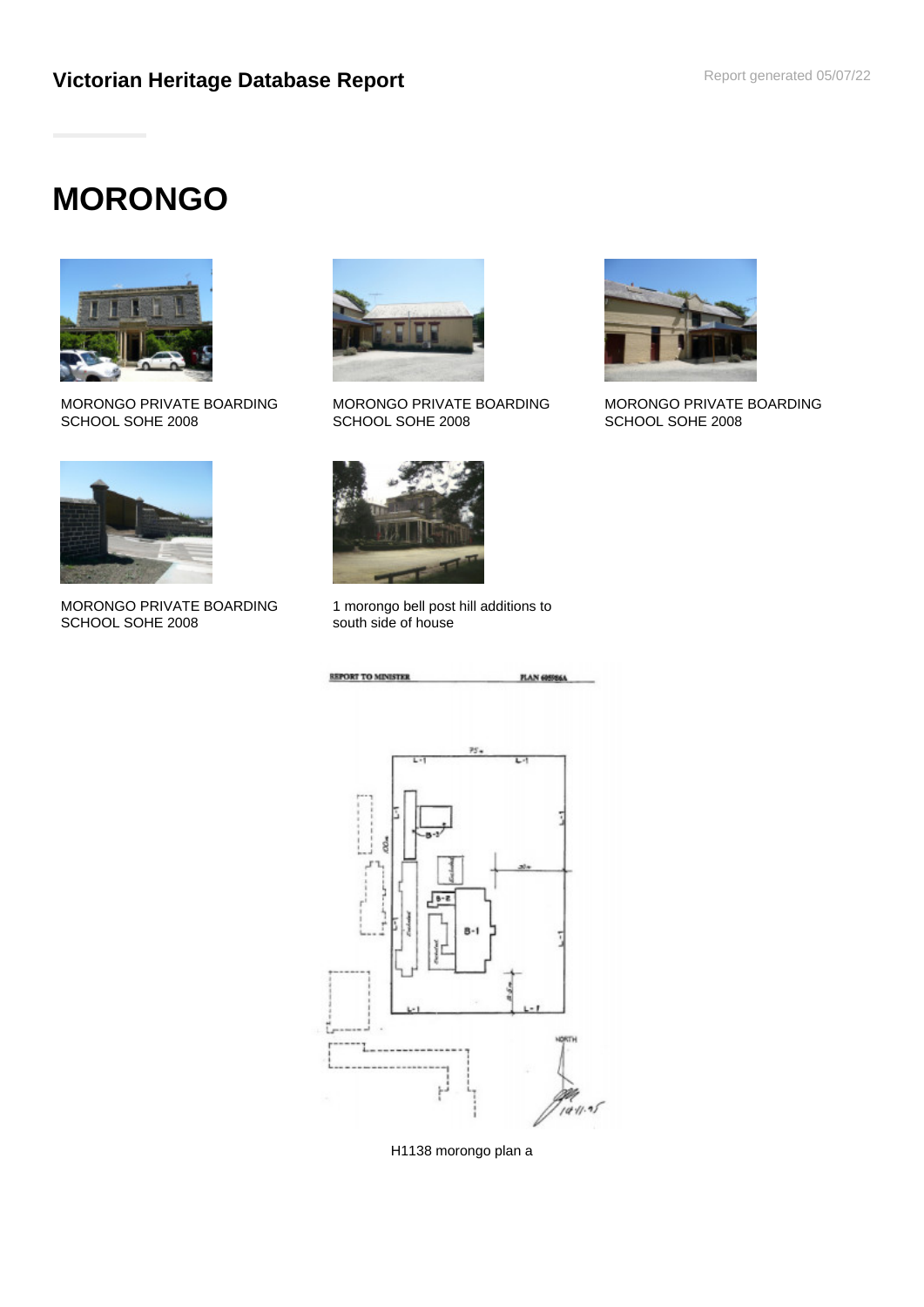# **MORONGO**



MORONGO PRIVATE BOARDING SCHOOL SOHE 2008



MORONGO PRIVATE BOARDING SCHOOL SOHE 2008



MORONGO PRIVATE BOARDING SCHOOL SOHE 2008



1 morongo bell post hill additions to south side of house



H1138 morongo plan a



MORONGO PRIVATE BOARDING SCHOOL SOHE 2008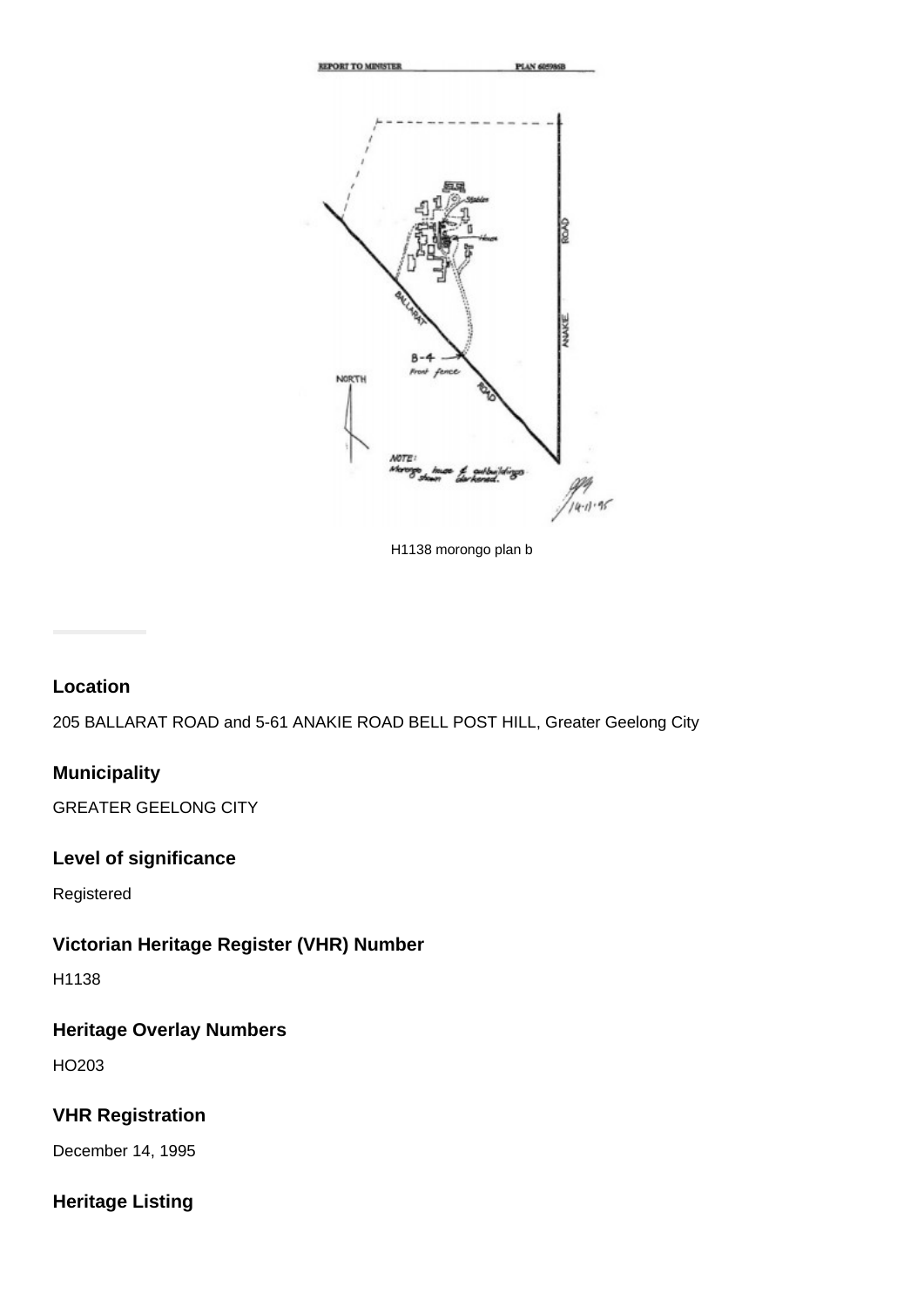

H1138 morongo plan b

## **Location**

205 BALLARAT ROAD and 5-61 ANAKIE ROAD BELL POST HILL, Greater Geelong City

## **Municipality**

GREATER GEELONG CITY

## **Level of significance**

Registered

# **Victorian Heritage Register (VHR) Number**

H1138

# **Heritage Overlay Numbers**

HO203

# **VHR Registration**

December 14, 1995

# **Heritage Listing**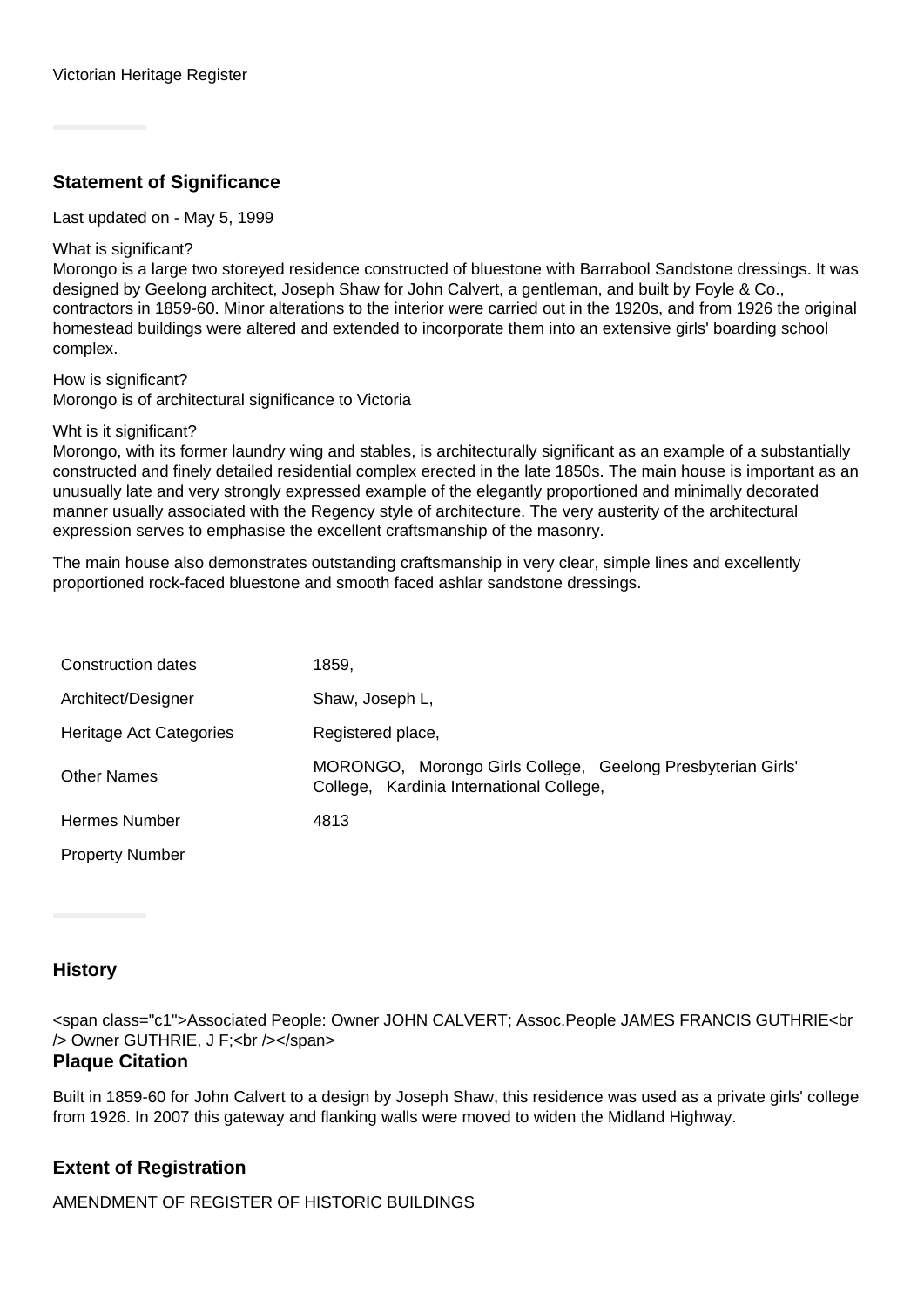# **Statement of Significance**

Last updated on - May 5, 1999

#### What is significant?

Morongo is a large two storeyed residence constructed of bluestone with Barrabool Sandstone dressings. It was designed by Geelong architect, Joseph Shaw for John Calvert, a gentleman, and built by Foyle & Co., contractors in 1859-60. Minor alterations to the interior were carried out in the 1920s, and from 1926 the original homestead buildings were altered and extended to incorporate them into an extensive girls' boarding school complex.

How is significant? Morongo is of architectural significance to Victoria

#### Wht is it significant?

Morongo, with its former laundry wing and stables, is architecturally significant as an example of a substantially constructed and finely detailed residential complex erected in the late 1850s. The main house is important as an unusually late and very strongly expressed example of the elegantly proportioned and minimally decorated manner usually associated with the Regency style of architecture. The very austerity of the architectural expression serves to emphasise the excellent craftsmanship of the masonry.

The main house also demonstrates outstanding craftsmanship in very clear, simple lines and excellently proportioned rock-faced bluestone and smooth faced ashlar sandstone dressings.

| Construction dates      | 1859.                                                                                                   |
|-------------------------|---------------------------------------------------------------------------------------------------------|
| Architect/Designer      | Shaw, Joseph L,                                                                                         |
| Heritage Act Categories | Registered place,                                                                                       |
| <b>Other Names</b>      | MORONGO, Morongo Girls College, Geelong Presbyterian Girls'<br>College, Kardinia International College, |
| <b>Hermes Number</b>    | 4813                                                                                                    |
| <b>Property Number</b>  |                                                                                                         |

## **History**

<span class="c1">Associated People: Owner JOHN CALVERT; Assoc.People JAMES FRANCIS GUTHRIE<br /> Owner GUTHRIE, J F;<br /></span>

#### **Plaque Citation**

Built in 1859-60 for John Calvert to a design by Joseph Shaw, this residence was used as a private girls' college from 1926. In 2007 this gateway and flanking walls were moved to widen the Midland Highway.

## **Extent of Registration**

AMENDMENT OF REGISTER OF HISTORIC BUILDINGS